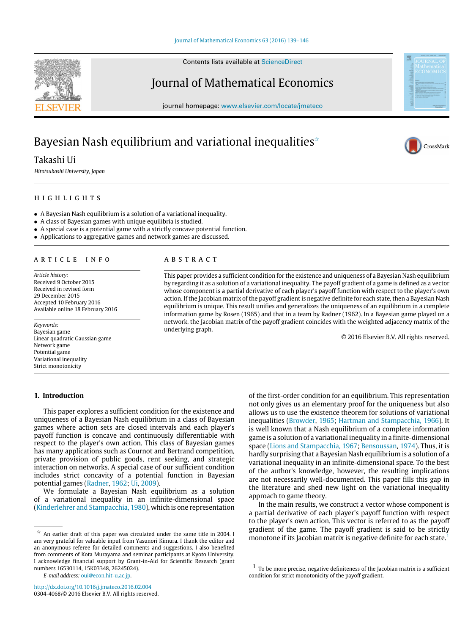Contents lists available at [ScienceDirect](http://www.elsevier.com/locate/jmateco)

# Journal of Mathematical Economics

journal homepage: [www.elsevier.com/locate/jmateco](http://www.elsevier.com/locate/jmateco)

# Bayesian Nash equilibrium and variational inequalities<sup> $\star$ </sup>

Takashi Ui

*Hitotsubashi University, Japan*

## h i g h l i g h t s

• A Bayesian Nash equilibrium is a solution of a variational inequality.

• A class of Bayesian games with unique equilibria is studied.

- A special case is a potential game with a strictly concave potential function.
- Applications to aggregative games and network games are discussed.

#### a r t i c l e i n f o

*Article history:* Received 9 October 2015 Received in revised form 29 December 2015 Accepted 10 February 2016 Available online 18 February 2016

*Keywords:* Bayesian game Linear quadratic Gaussian game Network game Potential game Variational inequality Strict monotonicity

### **1. Introduction**

### A B S T R A C T

This paper provides a sufficient condition for the existence and uniqueness of a Bayesian Nash equilibrium by regarding it as a solution of a variational inequality. The payoff gradient of a game is defined as a vector whose component is a partial derivative of each player's payoff function with respect to the player's own action. If the Jacobian matrix of the payoff gradient is negative definite for each state, then a Bayesian Nash equilibrium is unique. This result unifies and generalizes the uniqueness of an equilibrium in a complete information game by Rosen (1965) and that in a team by Radner (1962). In a Bayesian game played on a network, the Jacobian matrix of the payoff gradient coincides with the weighted adjacency matrix of the underlying graph.

© 2016 Elsevier B.V. All rights reserved.

This paper explores a sufficient condition for the existence and uniqueness of a Bayesian Nash equilibrium in a class of Bayesian games where action sets are closed intervals and each player's payoff function is concave and continuously differentiable with respect to the player's own action. This class of Bayesian games has many applications such as Cournot and Bertrand competition, private provision of public goods, rent seeking, and strategic interaction on networks. A special case of our sufficient condition includes strict concavity of a potential function in Bayesian potential games [\(Radner,](#page--1-0) [1962;](#page--1-0) [Ui,](#page--1-1) [2009\)](#page--1-1).

We formulate a Bayesian Nash equilibrium as a solution of a variational inequality in an infinite-dimensional space [\(Kinderlehrer](#page--1-2) [and](#page--1-2) [Stampacchia,](#page--1-2) [1980\)](#page--1-2), which is one representation

*E-mail address:* [oui@econ.hit-u.ac.jp.](mailto:oui@econ.hit-u.ac.jp)

of the first-order condition for an equilibrium. This representation not only gives us an elementary proof for the uniqueness but also allows us to use the existence theorem for solutions of variational inequalities [\(Browder,](#page--1-3) [1965;](#page--1-3) [Hartman](#page--1-4) [and](#page--1-4) [Stampacchia,](#page--1-4) [1966\)](#page--1-4). It is well known that a Nash equilibrium of a complete information game is a solution of a variational inequality in a finite-dimensional space [\(Lions](#page--1-5) [and](#page--1-5) [Stampacchia,](#page--1-5) [1967;](#page--1-5) [Bensoussan,](#page--1-6) [1974\)](#page--1-6). Thus, it is hardly surprising that a Bayesian Nash equilibrium is a solution of a variational inequality in an infinite-dimensional space. To the best of the author's knowledge, however, the resulting implications are not necessarily well-documented. This paper fills this gap in the literature and shed new light on the variational inequality approach to game theory.

In the main results, we construct a vector whose component is a partial derivative of each player's payoff function with respect to the player's own action. This vector is referred to as the payoff gradient of the game. The payoff gradient is said to be strictly monotone if its Jacobian matrix is negative definite for each state.<sup>[1](#page-0-1)</sup>





<span id="page-0-0"></span> $\overrightarrow{x}$  An earlier draft of this paper was circulated under the same title in 2004. I am very grateful for valuable input from Yasunori Kimura. I thank the editor and an anonymous referee for detailed comments and suggestions. I also benefited from comments of Kota Murayama and seminar participants at Kyoto University. I acknowledge financial support by Grant-in-Aid for Scientific Research (grant numbers 16530114, 15K03348, 26245024).

<span id="page-0-1"></span> $1$  To be more precise, negative definiteness of the Jacobian matrix is a sufficient condition for strict monotonicity of the payoff gradient.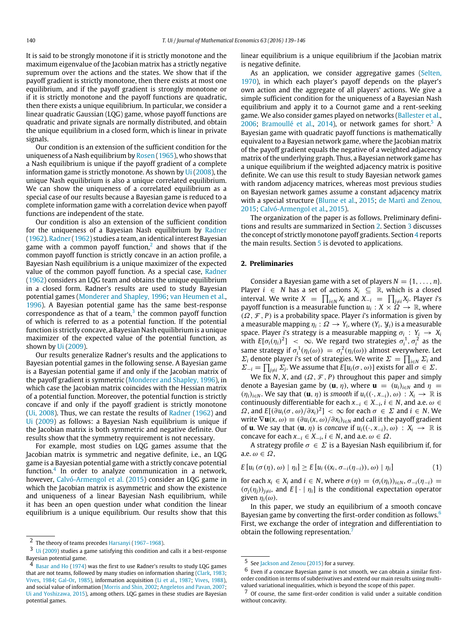It is said to be strongly monotone if it is strictly monotone and the maximum eigenvalue of the Jacobian matrix has a strictly negative supremum over the actions and the states. We show that if the payoff gradient is strictly monotone, then there exists at most one equilibrium, and if the payoff gradient is strongly monotone or if it is strictly monotone and the payoff functions are quadratic, then there exists a unique equilibrium. In particular, we consider a linear quadratic Gaussian (LQG) game, whose payoff functions are quadratic and private signals are normally distributed, and obtain the unique equilibrium in a closed form, which is linear in private signals.

Our condition is an extension of the sufficient condition for the uniqueness of a Nash equilibrium by [Rosen](#page--1-7) [\(1965\)](#page--1-7), who shows that a Nash equilibrium is unique if the payoff gradient of a complete information game is strictly monotone. As shown by [Ui](#page--1-8) [\(2008\)](#page--1-8), the unique Nash equilibrium is also a unique correlated equilibrium. We can show the uniqueness of a correlated equilibrium as a special case of our results because a Bayesian game is reduced to a complete information game with a correlation device when payoff functions are independent of the state.

Our condition is also an extension of the sufficient condition for the uniqueness of a Bayesian Nash equilibrium by [Radner](#page--1-0) [\(1962\)](#page--1-0). [Radner](#page--1-0) [\(1962\)](#page--1-0) studies a team, an identical interest Bayesian game with a common payoff function, $^2$  $^2$  and shows that if the common payoff function is strictly concave in an action profile, a Bayesian Nash equilibrium is a unique maximizer of the expected value of the common payoff function. As a special case, [Radner](#page--1-0) [\(1962\)](#page--1-0) considers an LQG team and obtains the unique equilibrium in a closed form. Radner's results are used to study Bayesian potential games [\(Monderer](#page--1-9) [and](#page--1-9) [Shapley,](#page--1-9) [1996;](#page--1-9) [van](#page--1-10) [Heumen](#page--1-10) [et al.,](#page--1-10) [1996\)](#page--1-10). A Bayesian potential game has the same best-response correspondence as that of a team, $^3$  $^3$  the common payoff function of which is referred to as a potential function. If the potential function is strictly concave, a Bayesian Nash equilibrium is a unique maximizer of the expected value of the potential function, as shown by [Ui](#page--1-1) [\(2009\)](#page--1-1).

Our results generalize Radner's results and the applications to Bayesian potential games in the following sense. A Bayesian game is a Bayesian potential game if and only if the Jacobian matrix of the payoff gradient is symmetric [\(Monderer](#page--1-9) [and](#page--1-9) [Shapley,](#page--1-9) [1996\)](#page--1-9), in which case the Jacobian matrix coincides with the Hessian matrix of a potential function. Moreover, the potential function is strictly concave if and only if the payoff gradient is strictly monotone [\(Ui,](#page--1-8) [2008\)](#page--1-8). Thus, we can restate the results of [Radner](#page--1-0) [\(1962\)](#page--1-0) and [Ui](#page--1-1) [\(2009\)](#page--1-1) as follows: a Bayesian Nash equilibrium is unique if the Jacobian matrix is both symmetric and negative definite. Our results show that the symmetry requirement is not necessary.

For example, most studies on LQG games assume that the Jacobian matrix is symmetric and negative definite, i.e., an LQG game is a Bayesian potential game with a strictly concave potential function.[4](#page-1-2) In order to analyze communication in a network, however, [Calvó-Armengol](#page--1-11) [et al.](#page--1-11) [\(2015\)](#page--1-11) consider an LQG game in which the Jacobian matrix is asymmetric and show the existence and uniqueness of a linear Bayesian Nash equilibrium, while it has been an open question under what condition the linear equilibrium is a unique equilibrium. Our results show that this

linear equilibrium is a unique equilibrium if the Jacobian matrix is negative definite.

As an application, we consider aggregative games [\(Selten,](#page--1-22) [1970\)](#page--1-22), in which each player's payoff depends on the player's own action and the aggregate of all players' actions. We give a simple sufficient condition for the uniqueness of a Bayesian Nash equilibrium and apply it to a Cournot game and a rent-seeking game. We also consider games played on networks [\(Ballester](#page--1-23) [et al.,](#page--1-23) [2006;](#page--1-23) [Bramoullé](#page--1-24) [et al.,](#page--1-24) [2014\)](#page--1-24), or network games for short.<sup>[5](#page-1-3)</sup> A Bayesian game with quadratic payoff functions is mathematically equivalent to a Bayesian network game, where the Jacobian matrix of the payoff gradient equals the negative of a weighted adjacency matrix of the underlying graph. Thus, a Bayesian network game has a unique equilibrium if the weighted adjacency matrix is positive definite. We can use this result to study Bayesian network games with random adjacency matrices, whereas most previous studies on Bayesian network games assume a constant adjacency matrix with a special structure [\(Blume](#page--1-25) [et al.,](#page--1-25) [2015;](#page--1-25) [de](#page--1-26) [Martì](#page--1-26) [and](#page--1-26) [Zenou,](#page--1-26) [2015;](#page--1-26) [Calvó-Armengol](#page--1-11) [et al.,](#page--1-11) [2015\)](#page--1-11).

The organization of the paper is as follows. Preliminary definitions and results are summarized in Section [2.](#page-1-4) Section [3](#page--1-27) discusses the concept of strictly monotone payoff gradients. Section [4](#page--1-28) reports the main results. Section [5](#page--1-29) is devoted to applications.

### <span id="page-1-4"></span>**2. Preliminaries**

Consider a Bayesian game with a set of players  $N = \{1, \ldots, n\}$ . Player *i* ∈ *N* has a set of actions  $X_i$  ⊆ ℝ, which is a closed interval. We write  $X = \prod_{i \in N} X_i$  and  $X_{-i} = \prod_{j \neq i} X_j$ . Player *i*'s payoff function is a measurable function  $u_i : X \times \Omega \to \mathbb{R}$ , where (Ω, F , *P*) is a probability space. Player *i*'s information is given by a measurable mapping  $\eta_i$  :  $\Omega \to Y_i$ , where  $(Y_i, \mathcal{Y}_i)$  is a measurable space. Player *i*'s strategy is a measurable mapping  $\sigma_i$  :  $Y_i \rightarrow X_i$ with  $E[\sigma_i(\eta_i)^2] < \infty$ . We regard two strategies  $\sigma_i^1, \sigma_i^2$  as the same strategy if  $\sigma_i^1(\eta_i(\omega)) = \sigma_i^2(\eta_i(\omega))$  almost everywhere. Let  $\Sigma_i$  denote player *i*'s set of strategies. We write  $\Sigma = \prod_{i \in N} \Sigma_i$  and  $\Sigma_{-i} = \prod_{j \neq i} \Sigma_j$ . We assume that  $E[u_i(\sigma, \omega)]$  exists for all  $\sigma \in \Sigma$ .

We fix *N*, *X*, and  $(\Omega, \mathcal{F}, P)$  throughout this paper and simply denote a Bayesian game by  $(\mathbf{u}, \eta)$ , where  $\mathbf{u} = (u_i)_{i \in \mathbb{N}}$  and  $\eta =$  $(\eta_i)_{i \in \mathbb{N}}$ . We say that  $(\mathbf{u}, \eta)$  is *smooth* if  $u_i((\cdot, x_{-i}), \omega) : X_i \to \mathbb{R}$  is continuously differentiable for each  $x_{-i} \in X_{-i}$ ,  $i \in N$ , and a.e.  $\omega \in$  $Ω$ , and  $E[(∂u_i(σ, ω)/∂x_i)^2] < ∞$  for each  $σ ∈ Σ$  and  $i ∈ N$ . We write  $\nabla$ **u**(*x*,  $\omega$ )  $\equiv$   $(\partial u_i(x, \omega)/\partial x_i)_{i \in \mathbb{N}}$  and call it the payoff gradient of **u**. We say that  $(\mathbf{u}, \eta)$  is *concave* if  $u_i((\cdot, x_{-i}), \omega) : X_i \to \mathbb{R}$  is concave for each  $x_{-i} \in X_{-i}$ ,  $i \in N$ , and a.e.  $\omega \in \Omega$ .

A strategy profile  $\sigma \in \Sigma$  is a Bayesian Nash equilibrium if, for a.e.  $\omega \in \Omega$ .

$$
E[u_i(\sigma(\eta),\omega) | \eta_i] \ge E[u_i((x_i,\sigma_{-i}(\eta_{-i})),\omega) | \eta_i]
$$
\n(1)

for each  $x_i \in X_i$  and  $i \in N$ , where  $\sigma(\eta) = (\sigma_i(\eta_i))_{i \in N}$ ,  $\sigma_{-i}(\eta_{-i}) =$  $(\sigma_j(\eta_j))_{j\neq i}$ , and  $E[\cdot | \eta_i]$  is the conditional expectation operator given  $\eta_i(\omega)$ .

In this paper, we study an equilibrium of a smooth concave Bayesian game by converting the first-order condition as follows.<sup>[6](#page-1-5)</sup> First, we exchange the order of integration and differentiation to obtain the following representation.<sup>[7](#page-1-6)</sup>

<span id="page-1-0"></span><sup>2</sup> The theory of teams precedes [Harsanyi](#page--1-12) [\(1967–1968\)](#page--1-12).

<span id="page-1-1"></span><sup>3</sup> [Ui](#page--1-1) [\(2009\)](#page--1-1) studies a game satisfying this condition and calls it a best-response Bayesian potential game.

<span id="page-1-2"></span><sup>4</sup> [Basar](#page--1-13) [and](#page--1-13) [Ho](#page--1-13) [\(1974\)](#page--1-13) was the first to use Radner's results to study LQG games that are not teams, followed by many studies on information sharing [\(Clark,](#page--1-14) [1983;](#page--1-14) [Vives,](#page--1-15) [1984;](#page--1-15) [Gal-Or,](#page--1-16) [1985\)](#page--1-16), information acquisition [\(Li](#page--1-17) [et al.,](#page--1-17) [1987;](#page--1-17) [Vives,](#page--1-18) [1988\)](#page--1-18), and social value of information [\(Morris](#page--1-19) [and](#page--1-19) [Shin,](#page--1-19) [2002;](#page--1-19) [Angeletos](#page--1-20) [and](#page--1-20) [Pavan,](#page--1-20) [2007;](#page--1-20) [Ui](#page--1-21) [and](#page--1-21) [Yoshizawa,](#page--1-21) [2015\)](#page--1-21), among others. LQG games in these studies are Bayesian potential games.

<span id="page-1-3"></span><sup>5</sup> See [Jackson](#page--1-30) [and](#page--1-30) [Zenou](#page--1-30) [\(2015\)](#page--1-30) for a survey.

<span id="page-1-5"></span> $6$  Even if a concave Bayesian game is not smooth, we can obtain a similar firstorder condition in terms of subderivatives and extend our main results using multivalued variational inequalities, which is beyond the scope of this paper.

<span id="page-1-6"></span><sup>7</sup> Of course, the same first-order condition is valid under a suitable condition without concavity.